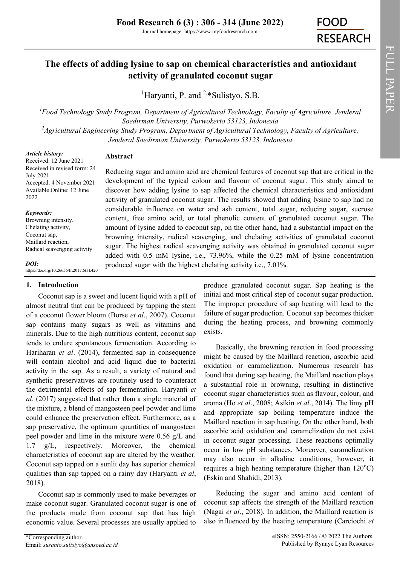# **The effects of adding lysine to sap on chemical characteristics and antioxidant activity of granulated coconut sugar**

<sup>1</sup>Harvanti, P. and  $2*$  Sulistyo, S.B.

*<sup>1</sup>Food Technology Study Program, Department of Agricultural Technology, Faculty of Agriculture, Jenderal Soedirman University, Purwokerto 53123, Indonesia <sup>2</sup>Agricultural Engineering Study Program, Department of Agricultural Technology, Faculty of Agriculture,* 

*Jenderal Soedirman University, Purwokerto 53123, Indonesia*

*Article history:* Received: 12 June 2021 Received in revised form: 24 July 2021 Accepted: 4 November 2021 Available Online: 12 June 2022

*Keywords:* Browning intensity, Chelating activity, Coconut sap, Maillard reaction, Radical scavenging activity

*DOI:*

https://doi.org/10.26656/fr.2017.6(3).420

# **1. Introduction**

Coconut sap is a sweet and lucent liquid with a pH of almost neutral that can be produced by tapping the stem of a coconut flower bloom (Borse *et al*., 2007). Coconut sap contains many sugars as well as vitamins and minerals. Due to the high nutritious content, coconut sap tends to endure spontaneous fermentation. According to Hariharan *et al*. (2014), fermented sap in consequence will contain alcohol and acid liquid due to bacterial activity in the sap. As a result, a variety of natural and synthetic preservatives are routinely used to counteract the detrimental effects of sap fermentation. Haryanti *et al*. (2017) suggested that rather than a single material of the mixture, a blend of mangosteen peel powder and lime could enhance the preservation effect. Furthermore, as a sap preservative, the optimum quantities of mangosteen peel powder and lime in the mixture were 0.56 g/L and 1.7 g/L, respectively. Moreover, the chemical characteristics of coconut sap are altered by the weather. Coconut sap tapped on a sunlit day has superior chemical qualities than sap tapped on a rainy day (Haryanti *et al*, 2018).

Coconut sap is commonly used to make beverages or make coconut sugar. Granulated coconut sugar is one of the products made from coconut sap that has high economic value. Several processes are usually applied to

# **Abstract**

Reducing sugar and amino acid are chemical features of coconut sap that are critical in the development of the typical colour and flavour of coconut sugar. This study aimed to discover how adding lysine to sap affected the chemical characteristics and antioxidant activity of granulated coconut sugar. The results showed that adding lysine to sap had no considerable influence on water and ash content, total sugar, reducing sugar, sucrose content, free amino acid, or total phenolic content of granulated coconut sugar. The amount of lysine added to coconut sap, on the other hand, had a substantial impact on the browning intensity, radical scavenging, and chelating activities of granulated coconut sugar. The highest radical scavenging activity was obtained in granulated coconut sugar added with 0.5 mM lysine, i.e., 73.96%, while the 0.25 mM of lysine concentration produced sugar with the highest chelating activity i.e., 7.01%.

> produce granulated coconut sugar. Sap heating is the initial and most critical step of coconut sugar production. The improper procedure of sap heating will lead to the failure of sugar production. Coconut sap becomes thicker during the heating process, and browning commonly exists.

> Basically, the browning reaction in food processing might be caused by the Maillard reaction, ascorbic acid oxidation or caramelization. Numerous research has found that during sap heating, the Maillard reaction plays a substantial role in browning, resulting in distinctive coconut sugar characteristics such as flavour, colour, and aroma (Ho *et al*., 2008; Asikin *et al*., 2014). The limy pH and appropriate sap boiling temperature induce the Maillard reaction in sap heating. On the other hand, both ascorbic acid oxidation and caramelization do not exist in coconut sugar processing. These reactions optimally occur in low pH substances. Moreover, caramelization may also occur in alkaline conditions, however, it requires a high heating temperature (higher than  $120^{\circ}$ C) (Eskin and Shahidi, 2013).

> Reducing the sugar and amino acid content of coconut sap affects the strength of the Maillard reaction (Nagai *et al*., 2018). In addition, the Maillard reaction is also influenced by the heating temperature (Carciochi *et*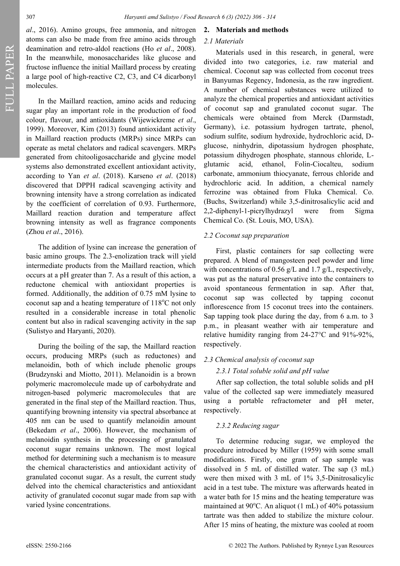FULL PAPER

*al*., 2016). Amino groups, free ammonia, and nitrogen atoms can also be made from free amino acids through deamination and retro-aldol reactions (Ho *et al*., 2008). In the meanwhile, monosaccharides like glucose and fructose influence the initial Maillard process by creating a large pool of high-reactive C2, C3, and C4 dicarbonyl molecules.

In the Maillard reaction, amino acids and reducing sugar play an important role in the production of food colour, flavour, and antioxidants (Wijewickreme *et al*., 1999). Moreover, Kim (2013) found antioxidant activity in Maillard reaction products (MRPs) since MRPs can operate as metal chelators and radical scavengers. MRPs generated from chitooligosaccharide and glycine model systems also demonstrated excellent antioxidant activity, according to Yan *et al*. (2018). Karseno *et al*. (2018) discovered that DPPH radical scavenging activity and browning intensity have a strong correlation as indicated by the coefficient of correlation of 0.93. Furthermore, Maillard reaction duration and temperature affect browning intensity as well as fragrance components (Zhou *et al*., 2016).

The addition of lysine can increase the generation of basic amino groups. The 2.3-enolization track will yield intermediate products from the Maillard reaction, which occurs at a pH greater than 7. As a result of this action, a reductone chemical with antioxidant properties is formed. Additionally, the addition of 0.75 mM lysine to coconut sap and a heating temperature of  $118^{\circ}$ C not only resulted in a considerable increase in total phenolic content but also in radical scavenging activity in the sap (Sulistyo and Haryanti, 2020).

During the boiling of the sap, the Maillard reaction occurs, producing MRPs (such as reductones) and melanoidin, both of which include phenolic groups (Brudzynski and Miotto, 2011). Melanoidin is a brown polymeric macromolecule made up of carbohydrate and nitrogen-based polymeric macromolecules that are generated in the final step of the Maillard reaction. Thus, quantifying browning intensity via spectral absorbance at 405 nm can be used to quantify melanoidin amount (Bekedam *et al*., 2006). However, the mechanism of melanoidin synthesis in the processing of granulated coconut sugar remains unknown. The most logical method for determining such a mechanism is to measure the chemical characteristics and antioxidant activity of granulated coconut sugar. As a result, the current study delved into the chemical characteristics and antioxidant activity of granulated coconut sugar made from sap with varied lysine concentrations.

#### **2. Materials and methods**

### *2.1 Materials*

Materials used in this research, in general, were divided into two categories, i.e. raw material and chemical. Coconut sap was collected from coconut trees in Banyumas Regency, Indonesia, as the raw ingredient. A number of chemical substances were utilized to analyze the chemical properties and antioxidant activities of coconut sap and granulated coconut sugar. The chemicals were obtained from Merck (Darmstadt, Germany), i.e. potassium hydrogen tartrate, phenol, sodium sulfite, sodium hydroxide, hydrochloric acid, Dglucose, ninhydrin, dipotassium hydrogen phosphate, potassium dihydrogen phosphate, stannous chloride, Lglutamic acid, ethanol, Folin-Ciocalteu, sodium carbonate, ammonium thiocyanate, ferrous chloride and hydrochloric acid. In addition, a chemical namely ferrozine was obtained from Fluka Chemical. Co. (Buchs, Switzerland) while 3,5-dinitrosalicylic acid and 2,2-diphenyl-1-picrylhydrazyl were from Sigma Chemical Co. (St. Louis, MO, USA).

### *2.2 Coconut sap preparation*

First, plastic containers for sap collecting were prepared. A blend of mangosteen peel powder and lime with concentrations of 0.56  $g/L$  and 1.7  $g/L$ , respectively, was put as the natural preservative into the containers to avoid spontaneous fermentation in sap. After that, coconut sap was collected by tapping coconut inflorescence from 15 coconut trees into the containers. Sap tapping took place during the day, from 6 a.m. to 3 p.m., in pleasant weather with air temperature and relative humidity ranging from 24-27°C and 91%-92%, respectively.

### *2.3 Chemical analysis of coconut sap*

### *2.3.1 Total soluble solid and pH value*

After sap collection, the total soluble solids and pH value of the collected sap were immediately measured using a portable refractometer and pH meter, respectively.

### *2.3.2 Reducing sugar*

To determine reducing sugar, we employed the procedure introduced by Miller (1959) with some small modifications. Firstly, one gram of sap sample was dissolved in 5 mL of distilled water. The sap (3 mL) were then mixed with 3 mL of 1% 3,5-Dinitrosalicylic acid in a test tube. The mixture was afterwards heated in a water bath for 15 mins and the heating temperature was maintained at  $90^{\circ}$ C. An aliquot (1 mL) of 40% potassium tartrate was then added to stabilize the mixture colour. After 15 mins of heating, the mixture was cooled at room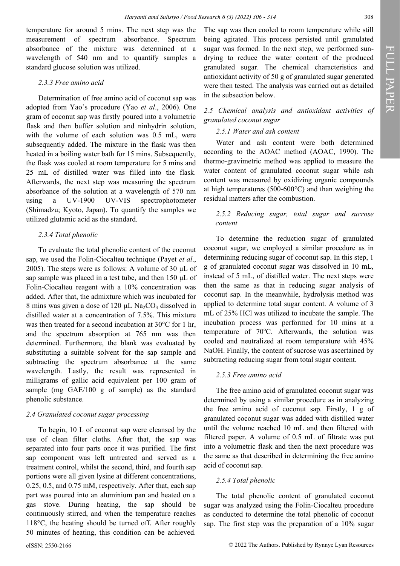temperature for around 5 mins. The next step was the measurement of spectrum absorbance. Spectrum absorbance of the mixture was determined at a wavelength of 540 nm and to quantify samples a standard glucose solution was utilized.

# *2.3.3 Free amino acid*

Determination of free amino acid of coconut sap was adopted from Yao's procedure (Yao *et al*., 2006). One gram of coconut sap was firstly poured into a volumetric flask and then buffer solution and ninhydrin solution, with the volume of each solution was 0.5 mL, were subsequently added. The mixture in the flask was then heated in a boiling water bath for 15 mins. Subsequently, the flask was cooled at room temperature for 5 mins and 25 mL of distilled water was filled into the flask. Afterwards, the next step was measuring the spectrum absorbance of the solution at a wavelength of 570 nm using a UV-1900 UV-VIS spectrophotometer (Shimadzu; Kyoto, Japan). To quantify the samples we utilized glutamic acid as the standard.

# *2.3.4 Total phenolic*

To evaluate the total phenolic content of the coconut sap, we used the Folin-Ciocalteu technique (Payet *et al*., 2005). The steps were as follows: A volume of 30 μL of sap sample was placed in a test tube, and then 150 μL of Folin-Ciocalteu reagent with a 10% concentration was added. After that, the admixture which was incubated for 8 mins was given a dose of 120  $\mu$ L Na<sub>2</sub>CO<sub>3</sub> dissolved in distilled water at a concentration of 7.5%. This mixture was then treated for a second incubation at 30°C for 1 hr, and the spectrum absorption at 765 nm was then determined. Furthermore, the blank was evaluated by substituting a suitable solvent for the sap sample and subtracting the spectrum absorbance at the same wavelength. Lastly, the result was represented in milligrams of gallic acid equivalent per 100 gram of sample (mg GAE/100 g of sample) as the standard phenolic substance.

### *2.4 Granulated coconut sugar processing*

To begin, 10 L of coconut sap were cleansed by the use of clean filter cloths. After that, the sap was separated into four parts once it was purified. The first sap component was left untreated and served as a treatment control, whilst the second, third, and fourth sap portions were all given lysine at different concentrations, 0.25, 0.5, and 0.75 mM, respectively. After that, each sap part was poured into an aluminium pan and heated on a gas stove. During heating, the sap should be continuously stirred, and when the temperature reaches 118°C, the heating should be turned off. After roughly 50 minutes of heating, this condition can be achieved.

The sap was then cooled to room temperature while still being agitated. This process persisted until granulated sugar was formed. In the next step, we performed sundrying to reduce the water content of the produced granulated sugar. The chemical characteristics and antioxidant activity of 50 g of granulated sugar generated were then tested. The analysis was carried out as detailed in the subsection below.

# *2.5 Chemical analysis and antioxidant activities of granulated coconut sugar*

### *2.5.1 Water and ash content*

Water and ash content were both determined according to the AOAC method (AOAC, 1990). The thermo-gravimetric method was applied to measure the water content of granulated coconut sugar while ash content was measured by oxidizing organic compounds at high temperatures (500-600°C) and than weighing the residual matters after the combustion.

# *2.5.2 Reducing sugar, total sugar and sucrose content*

To determine the reduction sugar of granulated coconut sugar, we employed a similar procedure as in determining reducing sugar of coconut sap. In this step, 1 g of granulated coconut sugar was dissolved in 10 mL, instead of 5 mL, of distilled water. The next steps were then the same as that in reducing sugar analysis of coconut sap. In the meanwhile, hydrolysis method was applied to determine total sugar content. A volume of 3 mL of 25% HCl was utilized to incubate the sample. The incubation process was performed for 10 mins at a temperature of  $70^{\circ}$ C. Afterwards, the solution was cooled and neutralized at room temperature with 45% NaOH. Finally, the content of sucrose was ascertained by subtracting reducing sugar from total sugar content.

# *2.5.3 Free amino acid*

The free amino acid of granulated coconut sugar was determined by using a similar procedure as in analyzing the free amino acid of coconut sap. Firstly, 1 g of granulated coconut sugar was added with distilled water until the volume reached 10 mL and then filtered with filtered paper. A volume of 0.5 mL of filtrate was put into a volumetric flask and then the next procedure was the same as that described in determining the free amino acid of coconut sap.

# *2.5.4 Total phenolic*

The total phenolic content of granulated coconut sugar was analyzed using the Folin-Ciocalteu procedure as conducted to determine the total phenolic of coconut sap. The first step was the preparation of a 10% sugar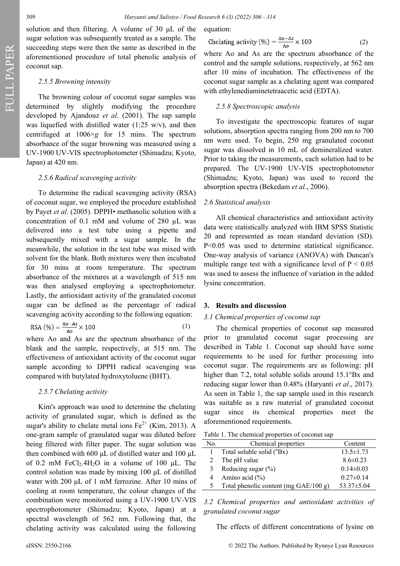FULL PAPER

solution and then filtering. A volume of 30 μL of the sugar solution was subsequently treated as a sample. The succeeding steps were then the same as described in the aforementioned procedure of total phenolic analysis of coconut sap.

#### *2.5.5 Browning intensity*

The browning colour of coconut sugar samples was determined by slightly modifying the procedure developed by Ajandouz *et al*. (2001). The sap sample was liquefied with distilled water (1:25 w/v), and then centrifuged at 1006×*g* for 15 mins. The spectrum absorbance of the sugar browning was measured using a UV-1900 UV-VIS spectrophotometer (Shimadzu; Kyoto, Japan) at 420 nm.

#### *2.5.6 Radical scavenging activity*

To determine the radical scavenging activity (RSA) of coconut sugar, we employed the procedure established by Payet *et al*. (2005). DPPH• methanolic solution with a concentration of 0.1 mM and volume of 280 µL was delivered into a test tube using a pipette and subsequently mixed with a sugar sample. In the meanwhile, the solution in the test tube was mixed with solvent for the blank. Both mixtures were then incubated for 30 mins at room temperature. The spectrum absorbance of the mixtures at a wavelength of 515 nm was then analysed employing a spectrophotometer. Lastly, the antioxidant activity of the granulated coconut sugar can be defined as the percentage of radical scavenging activity according to the following equation:

$$
RSA\left(\frac{\%}{\ }right) = \frac{Ao-As}{A_0} \times 100\tag{1}
$$

where Ao and As are the spectrum absorbance of the blank and the sample, respectively, at 515 nm. The effectiveness of antioxidant activity of the coconut sugar sample according to DPPH radical scavenging was compared with butylated hydroxytoluene (BHT).

#### *2.5.7 Chelating activity*

Kim's approach was used to determine the chelating activity of granulated sugar, which is defined as the sugar's ability to chelate metal ions  $Fe^{2+}$  (Kim, 2013). A one-gram sample of granulated sugar was diluted before being filtered with filter paper. The sugar solution was then combined with 600 μL of distilled water and 100 μL of 0.2 mM FeCl<sub>2</sub>.4H<sub>2</sub>O in a volume of 100  $\mu$ L. The control solution was made by mixing 100 μL of distilled water with 200 μL of 1 mM ferrozine. After 10 mins of cooling at room temperature, the colour changes of the combination were monitored using a UV-1900 UV-VIS spectrophotometer (Shimadzu; Kyoto, Japan) at a spectral wavelength of 562 nm. Following that, the chelating activity was calculated using the following

equation:

Chelating activity (
$$
\%
$$
) =  $\frac{\text{Ao-As}}{\text{Ao}} \times 100$  (2)

where Ao and As are the spectrum absorbance of the control and the sample solutions, respectively, at 562 nm after 10 mins of incubation. The effectiveness of the coconut sugar sample as a chelating agent was compared with ethylenediaminetetraacetic acid (EDTA).

#### *2.5.8 Spectroscopic analysis*

To investigate the spectroscopic features of sugar solutions, absorption spectra ranging from 200 nm to 700 nm were used. To begin, 250 mg granulated coconut sugar was dissolved in 10 mL of demineralized water. Prior to taking the measurements, each solution had to be prepared. The UV-1900 UV-VIS spectrophotometer (Shimadzu; Kyoto, Japan) was used to record the absorption spectra (Bekedam *et al*., 2006).

#### *2.6 Statistical analysis*

All chemical characteristics and antioxidant activity data were statistically analyzed with IBM SPSS Statistic 20 and represented as mean standard deviation (SD). P<0.05 was used to determine statistical significance. One-way analysis of variance (ANOVA) with Duncan's multiple range test with a significance level of  $P < 0.05$ was used to assess the influence of variation in the added lysine concentration.

#### **3. Results and discussion**

#### *3.1 Chemical properties of coconut sap*

The chemical properties of coconut sap measured prior to granulated coconut sugar processing are described in Table 1. Coconut sap should have some requirements to be used for further processing into coconut sugar. The requirements are as following: pH higher than 7.2, total soluble solids around 15.1°Bx and reducing sugar lower than 0.48% (Haryanti *et al*., 2017). As seen in Table 1, the sap sample used in this research was suitable as a raw material of granulated coconut sugar since its chemical properties meet the aforementioned requirements.

| No. | Chemical properties                      | Content          |
|-----|------------------------------------------|------------------|
|     | Total soluble solid (°Bx)                | $13.5 \pm 1.73$  |
|     | The pH value                             | $8.6 \pm 0.23$   |
| 3   | Reducing sugar $(\%)$                    | $0.14 \pm 0.03$  |
| 4   | Amino acid $(\% )$                       | $0.27 \pm 0.14$  |
|     | Total phenolic content (mg $GAE/100 g$ ) | $53.37 \pm 5.04$ |

*3.2 Chemical properties and antioxidant activities of granulated coconut sugar*

The effects of different concentrations of lysine on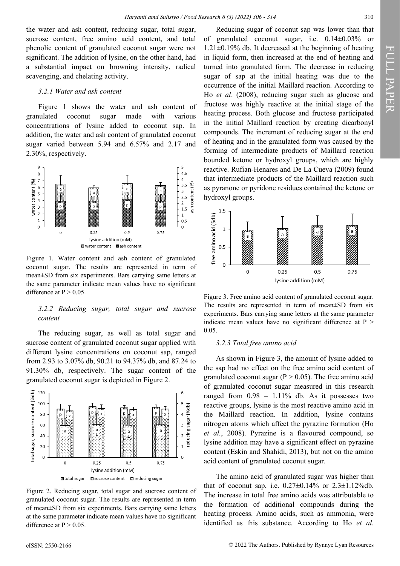the water and ash content, reducing sugar, total sugar, sucrose content, free amino acid content, and total phenolic content of granulated coconut sugar were not significant. The addition of lysine, on the other hand, had a substantial impact on browning intensity, radical scavenging, and chelating activity.

#### *3.2.1 Water and ash content*

Figure 1 shows the water and ash content of granulated coconut sugar made with various concentrations of lysine added to coconut sap. In addition, the water and ash content of granulated coconut sugar varied between 5.94 and 6.57% and 2.17 and 2.30%, respectively.



Figure 1. Water content and ash content of granulated coconut sugar. The results are represented in term of mean±SD from six experiments. Bars carrying same letters at the same parameter indicate mean values have no significant difference at  $P > 0.05$ .

### *3.2.2 Reducing sugar, total sugar and sucrose content*

The reducing sugar, as well as total sugar and sucrose content of granulated coconut sugar applied with different lysine concentrations on coconut sap, ranged from 2.93 to 3.07% db, 90.21 to 94.37% db, and 87.24 to 91.30% db, respectively. The sugar content of the granulated coconut sugar is depicted in Figure 2.



Figure 2. Reducing sugar, total sugar and sucrose content of granulated coconut sugar. The results are represented in term of mean±SD from six experiments. Bars carrying same letters at the same parameter indicate mean values have no significant difference at  $P > 0.05$ .

Reducing sugar of coconut sap was lower than that of granulated coconut sugar, i.e. 0.14±0.03% or 1.21±0.19% db. It decreased at the beginning of heating in liquid form, then increased at the end of heating and turned into granulated form. The decrease in reducing sugar of sap at the initial heating was due to the occurrence of the initial Maillard reaction. According to Ho *et al*. (2008), reducing sugar such as glucose and fructose was highly reactive at the initial stage of the heating process. Both glucose and fructose participated in the initial Maillard reaction by creating dicarbonyl compounds. The increment of reducing sugar at the end of heating and in the granulated form was caused by the forming of intermediate products of Maillard reaction bounded ketone or hydroxyl groups, which are highly reactive. Rufian-Henares and De La Cueva (2009) found that intermediate products of the Maillard reaction such as pyranone or pyridone residues contained the ketone or hydroxyl groups.



Figure 3. Free amino acid content of granulated coconut sugar. The results are represented in term of mean±SD from six experiments. Bars carrying same letters at the same parameter indicate mean values have no significant difference at  $P >$ 0.05.

#### *3.2.3 Total free amino acid*

As shown in Figure 3, the amount of lysine added to the sap had no effect on the free amino acid content of granulated coconut sugar ( $P > 0.05$ ). The free amino acid of granulated coconut sugar measured in this research ranged from  $0.98 - 1.11\%$  db. As it possesses two reactive groups, lysine is the most reactive amino acid in the Maillard reaction. In addition, lysine contains nitrogen atoms which affect the pyrazine formation (Ho *et al.*, 2008). Pyrazine is a flavoured compound, so lysine addition may have a significant effect on pyrazine content (Eskin and Shahidi, 2013), but not on the amino acid content of granulated coconut sugar.

The amino acid of granulated sugar was higher than that of coconut sap, i.e.  $0.27 \pm 0.14\%$  or  $2.3 \pm 1.12\%$ db. The increase in total free amino acids was attributable to the formation of additional compounds during the heating process. Amino acids, such as ammonia, were identified as this substance. According to Ho *et al*.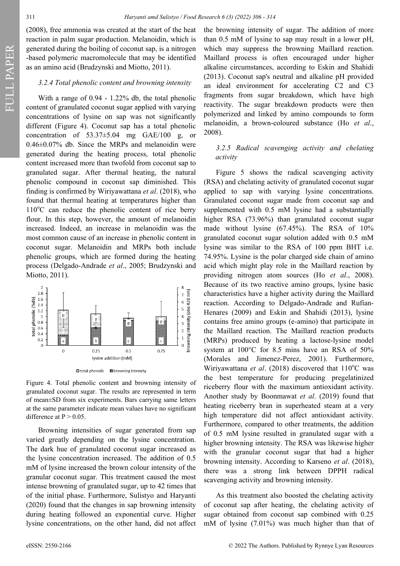FULL PAPER

(2008), free ammonia was created at the start of the heat reaction in palm sugar production. Melanoidin, which is generated during the boiling of coconut sap, is a nitrogen -based polymeric macromolecule that may be identified as an amino acid (Brudzynski and Miotto, 2011).

#### *3.2.4 Total phenolic content and browning intensity*

With a range of 0.94 - 1.22% db, the total phenolic content of granulated coconut sugar applied with varying concentrations of lysine on sap was not significantly different (Figure 4). Coconut sap has a total phenolic concentration of  $53.37\pm5.04$  mg GAE/100 g, or 0.46±0.07% db. Since the MRPs and melanoidin were generated during the heating process, total phenolic content increased more than twofold from coconut sap to granulated sugar. After thermal heating, the natural phenolic compound in coconut sap diminished. This finding is confirmed by Wiriyawattana *et al*. (2018), who found that thermal heating at temperatures higher than  $110^{\circ}$ C can reduce the phenolic content of rice berry flour. In this step, however, the amount of melanoidin increased. Indeed, an increase in melanoidin was the most common cause of an increase in phenolic content in coconut sugar. Melanoidin and MRPs both include phenolic groups, which are formed during the heating process (Delgado-Andrade *et al*., 2005; Brudzynski and Miotto, 2011).



Figure 4. Total phenolic content and browning intensity of granulated coconut sugar. The results are represented in term of mean±SD from six experiments. Bars carrying same letters at the same parameter indicate mean values have no significant difference at  $P > 0.05$ .

Browning intensities of sugar generated from sap varied greatly depending on the lysine concentration. The dark hue of granulated coconut sugar increased as the lysine concentration increased. The addition of 0.5 mM of lysine increased the brown colour intensity of the granular coconut sugar. This treatment caused the most intense browning of granulated sugar, up to 42 times that of the initial phase. Furthermore, Sulistyo and Haryanti (2020) found that the changes in sap browning intensity during heating followed an exponential curve. Higher lysine concentrations, on the other hand, did not affect the browning intensity of sugar. The addition of more than 0.5 mM of lysine to sap may result in a lower pH, which may suppress the browning Maillard reaction. Maillard process is often encouraged under higher alkaline circumstances, according to Eskin and Shahidi (2013). Coconut sap's neutral and alkaline pH provided an ideal environment for accelerating C2 and C3 fragments from sugar breakdown, which have high reactivity. The sugar breakdown products were then polymerized and linked by amino compounds to form melanoidin, a brown-coloured substance (Ho *et al*., 2008).

### *3.2.5 Radical scavenging activity and chelating activity*

Figure 5 shows the radical scavenging activity (RSA) and chelating activity of granulated coconut sugar applied to sap with varying lysine concentrations. Granulated coconut sugar made from coconut sap and supplemented with 0.5 mM lysine had a substantially higher RSA (73.96%) than granulated coconut sugar made without lysine (67.45%). The RSA of 10% granulated coconut sugar solution added with 0.5 mM lysine was similar to the RSA of 100 ppm BHT i.e. 74.95%. Lysine is the polar charged side chain of amino acid which might play role in the Maillard reaction by providing nitrogen atom sources (Ho *et al*., 2008). Because of its two reactive amino groups, lysine basic characteristics have a higher activity during the Maillard reaction. According to Delgado-Andrade and Rufian-Henares (2009) and Eskin and Shahidi (2013), lysine contains free amino groups (e-amino) that participate in the Maillard reaction. The Maillard reaction products (MRPs) produced by heating a lactose-lysine model system at 100°C for 8.5 mins have an RSA of 50% (Morales and Jimenez-Perez, 2001). Furthermore, Wiriyawattana *et al.* (2018) discovered that 110<sup>o</sup>C was the best temperature for producing pregelatinized riceberry flour with the maximum antioxidant activity. Another study by Boonmawat *et al*. (2019) found that heating riceberry bran in superheated steam at a very high temperature did not affect antioxidant activity. Furthermore, compared to other treatments, the addition of 0.5 mM lysine resulted in granulated sugar with a higher browning intensity. The RSA was likewise higher with the granular coconut sugar that had a higher browning intensity. According to Karseno *et al*. (2018), there was a strong link between DPPH radical scavenging activity and browning intensity.

As this treatment also boosted the chelating activity of coconut sap after heating, the chelating activity of sugar obtained from coconut sap combined with 0.25 mM of lysine (7.01%) was much higher than that of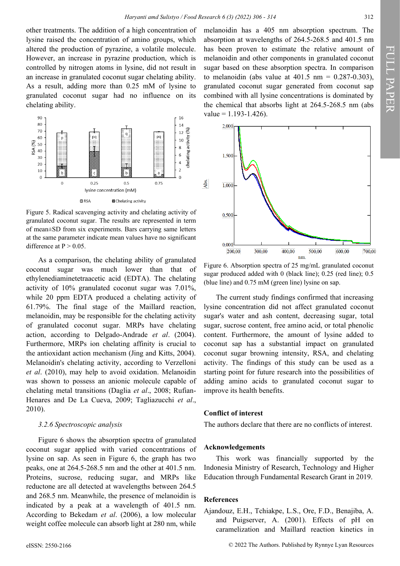other treatments. The addition of a high concentration of lysine raised the concentration of amino groups, which altered the production of pyrazine, a volatile molecule. However, an increase in pyrazine production, which is controlled by nitrogen atoms in lysine, did not result in an increase in granulated coconut sugar chelating ability. As a result, adding more than 0.25 mM of lysine to granulated coconut sugar had no influence on its chelating ability.



Figure 5. Radical scavenging activity and chelating activity of granulated coconut sugar. The results are represented in term of mean±SD from six experiments. Bars carrying same letters at the same parameter indicate mean values have no significant difference at  $P > 0.05$ .

As a comparison, the chelating ability of granulated coconut sugar was much lower than that of ethylenediaminetetraacetic acid (EDTA). The chelating activity of 10% granulated coconut sugar was 7.01%, while 20 ppm EDTA produced a chelating activity of 61.79%. The final stage of the Maillard reaction, melanoidin, may be responsible for the chelating activity of granulated coconut sugar. MRPs have chelating action, according to Delgado-Andrade *et al*. (2004). Furthermore, MRPs ion chelating affinity is crucial to the antioxidant action mechanism (Jing and Kitts, 2004). Melanoidin's chelating activity, according to Verzelloni *et al*. (2010), may help to avoid oxidation. Melanoidin was shown to possess an anionic molecule capable of chelating metal transitions (Daglia *et al*., 2008; Rufian-Henares and De La Cueva, 2009; Tagliazucchi *et al*., 2010).

#### *3.2.6 Spectroscopic analysis*

Figure 6 shows the absorption spectra of granulated coconut sugar applied with varied concentrations of lysine on sap. As seen in Figure 6, the graph has two peaks, one at 264.5-268.5 nm and the other at 401.5 nm. Proteins, sucrose, reducing sugar, and MRPs like reductone are all detected at wavelengths between 264.5 and 268.5 nm. Meanwhile, the presence of melanoidin is indicated by a peak at a wavelength of 401.5 nm. According to Bekedam *et al*. (2006), a low molecular weight coffee molecule can absorb light at 280 nm, while

melanoidin has a 405 nm absorption spectrum. The absorption at wavelengths of 264.5-268.5 and 401.5 nm has been proven to estimate the relative amount of melanoidin and other components in granulated coconut sugar based on these absorption spectra. In comparison to melanoidin (abs value at  $401.5 \text{ nm} = 0.287 - 0.303$ ), granulated coconut sugar generated from coconut sap combined with all lysine concentrations is dominated by the chemical that absorbs light at 264.5-268.5 nm (abs  $value = 1.193 - 1.426$ .



Figure 6. Absorption spectra of 25 mg/mL granulated coconut sugar produced added with 0 (black line); 0.25 (red line); 0.5 (blue line) and 0.75 mM (green line) lysine on sap.

The current study findings confirmed that increasing lysine concentration did not affect granulated coconut sugar's water and ash content, decreasing sugar, total sugar, sucrose content, free amino acid, or total phenolic content. Furthermore, the amount of lysine added to coconut sap has a substantial impact on granulated coconut sugar browning intensity, RSA, and chelating activity. The findings of this study can be used as a starting point for future research into the possibilities of adding amino acids to granulated coconut sugar to improve its health benefits.

#### **Conflict of interest**

The authors declare that there are no conflicts of interest.

#### **Acknowledgements**

This work was financially supported by the Indonesia Ministry of Research, Technology and Higher Education through Fundamental Research Grant in 2019.

#### **References**

Ajandouz, E.H., Tchiakpe, L.S., Ore, F.D., Benajiba, A. and Puigserver, A. (2001). Effects of pH on caramelization and Maillard reaction kinetics in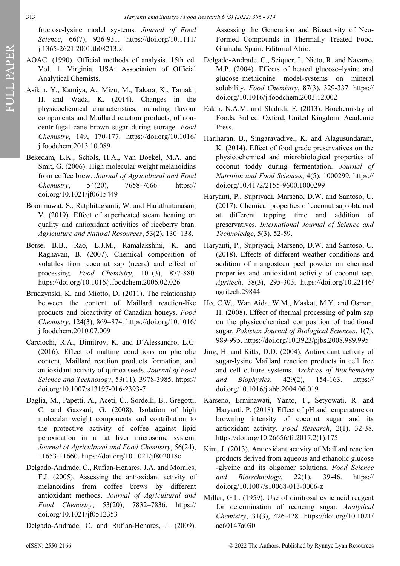fructose-lysine model systems. *Journal of Food Science*, 66(7), 926-931. https://doi.org/10.1111/ j.1365-2621.2001.tb08213.x

- AOAC. (1990). Official methods of analysis. 15th ed. Vol. 1. Virginia, USA: Association of Official Analytical Chemists.
- Asikin, Y., Kamiya, A., Mizu, M., Takara, K., Tamaki, H. and Wada, K. (2014). Changes in the physicochemical characteristics, including flavour components and Maillard reaction products, of noncentrifugal cane brown sugar during storage. *Food Chemistry*, 149, 170-177. https://doi.org/10.1016/ j.foodchem.2013.10.089
- Bekedam, E.K., Schols, H.A., Van Boekel, M.A. and Smit, G. (2006). High molecular weight melanoidins from coffee brew. *Journal of Agricultural and Food Chemistry*, 54(20), 7658-7666. https:// doi.org/10.1021/jf0615449
- Boonmawat, S., Ratphitagsanti, W. and Haruthaitanasan, V. (2019). Effect of superheated steam heating on quality and antioxidant activities of riceberry bran. *Agriculture and Natural Resources*, 53(2), 130–138.
- Borse, B.B., Rao, L.J.M., Ramalakshmi, K. and Raghavan, B. (2007). Chemical composition of volatiles from coconut sap (neera) and effect of processing. *Food Chemistry*, 101(3), 877-880. https://doi.org/10.1016/j.foodchem.2006.02.026
- Brudzynski, K. and Miotto, D. (2011). The relationship between the content of Maillard reaction-like products and bioactivity of Canadian honeys. *Food Chemistry*, 124(3), 869–874. https://doi.org/10.1016/ j.foodchem.2010.07.009
- Carciochi, R.A., Dimitrov, K. and D´Alessandro, L.G. (2016). Effect of malting conditions on phenolic content, Maillard reaction products formation, and antioxidant activity of quinoa seeds. *Journal of Food Science and Technology*, 53(11), 3978-3985. https:// doi.org/10.1007/s13197-016-2393-7
- Daglia, M., Papetti, A., Aceti, C., Sordelli, B., Gregotti, C. and Gazzani, G. (2008). Isolation of high molecular weight components and contribution to the protective activity of coffee against lipid peroxidation in a rat liver microsome system. *Journal of Agricultural and Food Chemistry*, 56(24), 11653-11660. https://doi.org/10.1021/jf802018c
- Delgado-Andrade, C., Rufian-Henares, J.A. and Morales, F.J. (2005). Assessing the antioxidant activity of melanoidins from coffee brews by different antioxidant methods. *Journal of Agricultural and Food Chemistry*, 53(20), 7832–7836. https:// doi.org/10.1021/jf0512353

Delgado-Andrade, C. and Rufian-Henares, J. (2009).

Assessing the Generation and Bioactivity of Neo-Formed Compounds in Thermally Treated Food. Granada, Spain: Editorial Atrio.

- Delgado-Andrade, C., Seiquer, I., Nieto, R. and Navarro, M.P. (2004). Effects of heated glucose–lysine and glucose–methionine model-systems on mineral solubility. *Food Chemistry*, 87(3), 329-337. https:// doi.org/10.1016/j.foodchem.2003.12.002
- Eskin, N.A.M. and Shahidi, F. (2013). Biochemistry of Foods. 3rd ed. Oxford, United Kingdom: Academic Press.
- Hariharan, B., Singaravadivel, K. and Alagusundaram, K. (2014). Effect of food grade preservatives on the physicochemical and microbiological properties of coconut toddy during fermentation. *Journal of Nutrition and Food Sciences*, 4(5), 1000299. https:// doi.org/10.4172/2155-9600.1000299
- Haryanti, P., Supriyadi, Marseno, D.W. and Santoso, U. (2017). Chemical properties of coconut sap obtained at different tapping time and addition of preservatives. *International Journal of Science and Technoledge*, 5(3), 52-59.
- Haryanti, P., Supriyadi, Marseno, D.W. and Santoso, U. (2018). Effects of different weather conditions and addition of mangosteen peel powder on chemical properties and antioxidant activity of coconut sap. *Agritech*, 38(3), 295-303. https://doi.org/10.22146/ agritech.29844
- Ho, C.W., Wan Aida, W.M., Maskat, M.Y. and Osman, H. (2008). Effect of thermal processing of palm sap on the physicochemical composition of traditional sugar. *Pakistan Journal of Biological Sciences*, 1(7), 989-995. https://doi.org/10.3923/pjbs.2008.989.995
- Jing, H. and Kitts, D.D. (2004). Antioxidant activity of sugar-lysine Maillard reaction products in cell free and cell culture systems. *Archives of Biochemistry and Biophysics*, 429(2), 154-163. https:// doi.org/10.1016/j.abb.2004.06.019
- Karseno, Erminawati, Yanto, T., Setyowati, R. and Haryanti, P. (2018). Effect of pH and temperature on browning intensity of coconut sugar and its antioxidant activity. *Food Research*, 2(1), 32-38. https://doi.org/10.26656/fr.2017.2(1).175
- Kim, J. (2013). Antioxidant activity of Maillard reaction products derived from aqueous and ethanolic glucose -glycine and its oligomer solutions. *Food Science and Biotechnology*, 22(1), 39-46. https:// doi.org/10.1007/s10068-013-0006-z
- Miller, G.L. (1959). Use of dinitrosalicylic acid reagent for determination of reducing sugar. *Analytical Chemistry*, 31(3), 426-428. https://doi.org/10.1021/ ac60147a030